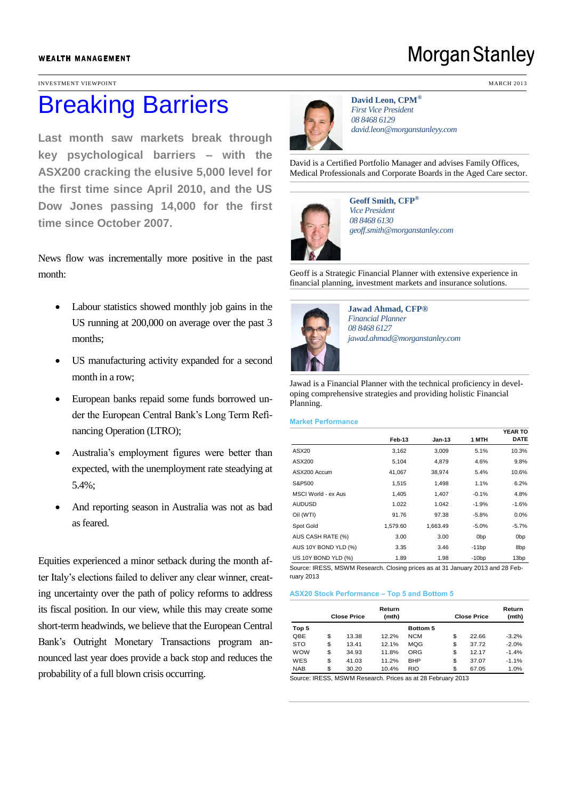#### **WEALTH MANAGEMENT**

INVESTMENT VIEWPOINT MARCH 2013

# Breaking Barriers

**Last month saw markets break through key psychological barriers – with the ASX200 cracking the elusive 5,000 level for the first time since April 2010, and the US Dow Jones passing 14,000 for the first time since October 2007.**

News flow was incrementally more positive in the past month:

- Labour statistics showed monthly job gains in the US running at 200,000 on average over the past 3 months;
- US manufacturing activity expanded for a second month in a row;
- European banks repaid some funds borrowed under the European Central Bank's Long Term Refinancing Operation (LTRO);
- Australia's employment figures were better than expected, with the unemployment rate steadying at 5.4%;
- And reporting season in Australia was not as bad as feared.

Equities experienced a minor setback during the month after Italy's elections failed to deliver any clear winner, creating uncertainty over the path of policy reforms to address its fiscal position. In our view, while this may create some short-term headwinds, we believe that the European Central Bank's Outright Monetary Transactions program announced last year does provide a back stop and reduces the probability of a full blown crisis occurring.

**David Leon, CPM®** *First Vice President 08 8468 6129 david.leon@morganstanleyy.com* 

David is a Certified Portfolio Manager and advises Family Offices, Medical Professionals and Corporate Boards in the Aged Care sector.



**Geoff Smith, CFP®** *Vice President 08 8468 6130 geoff.smith@morganstanley.com* 

Geoff is a Strategic Financial Planner with extensive experience in financial planning, investment markets and insurance solutions.



**Jawad Ahmad, CFP®** *Financial Planner 08 8468 6127 jawad.ahmad@morganstanley.com*

Jawad is a Financial Planner with the technical proficiency in developing comprehensive strategies and providing holistic Financial Planning.

#### **Market Performance**

|                                                                               |          |          |                 | <b>YEAR TO</b>   |
|-------------------------------------------------------------------------------|----------|----------|-----------------|------------------|
|                                                                               | Feb-13   | $Jan-13$ | 1 MTH           | <b>DATE</b>      |
| ASX20                                                                         | 3,162    | 3,009    | 5.1%            | 10.3%            |
| ASX200                                                                        | 5.104    | 4.879    | 4.6%            | 9.8%             |
| ASX200 Accum                                                                  | 41,067   | 38,974   | 5.4%            | 10.6%            |
| S&P500                                                                        | 1,515    | 1,498    | 1.1%            | 6.2%             |
| MSCI World - ex Aus                                                           | 1,405    | 1.407    | $-0.1%$         | 4.8%             |
| <b>AUDUSD</b>                                                                 | 1.022    | 1.042    | $-1.9%$         | $-1.6%$          |
| Oil (WTI)                                                                     | 91.76    | 97.38    | $-5.8%$         | 0.0%             |
| Spot Gold                                                                     | 1,579.60 | 1.663.49 | $-5.0%$         | $-5.7%$          |
| AUS CASH RATE (%)                                                             | 3.00     | 3.00     | 0 <sub>bp</sub> | 0 <sub>bp</sub>  |
| AUS 10Y BOND YLD (%)                                                          | 3.35     | 3.46     | $-11bp$         | 8bp              |
| US 10Y BOND YLD (%)                                                           | 1.89     | 1.98     | $-10bp$         | 13 <sub>bp</sub> |
| Course: IDECC, MCWM Dessarch, Closing priose so at 24 January 2012 and 28 Eab |          |          |                 |                  |

ISWM Research. Closing prices as at 31 January 2013 and 28 Feb ruary 2013

#### **ASX20 Stock Performance – Top 5 and Bottom 5**

|            | Return<br><b>Close Price</b><br>(mth) |       |       | <b>Close Price</b> | Return<br>(mth) |         |
|------------|---------------------------------------|-------|-------|--------------------|-----------------|---------|
| Top 5      |                                       |       |       | <b>Bottom 5</b>    |                 |         |
| QBE        | \$                                    | 13.38 | 12.2% | <b>NCM</b>         | \$<br>22.66     | $-3.2%$ |
| <b>STO</b> | \$                                    | 13.41 | 12.1% | MQG                | \$<br>37.72     | $-2.0%$ |
| <b>WOW</b> | \$                                    | 34.93 | 11.8% | ORG                | \$<br>12.17     | $-1.4%$ |
| WES        | \$                                    | 41.03 | 11.2% | <b>BHP</b>         | \$<br>37.07     | $-1.1%$ |
| <b>NAB</b> | \$                                    | 30.20 | 10.4% | <b>RIO</b>         | \$<br>67.05     | 1.0%    |

Source: IRESS, MSWM Research. Prices as at 28 February 2013

## **Morgan Stanley**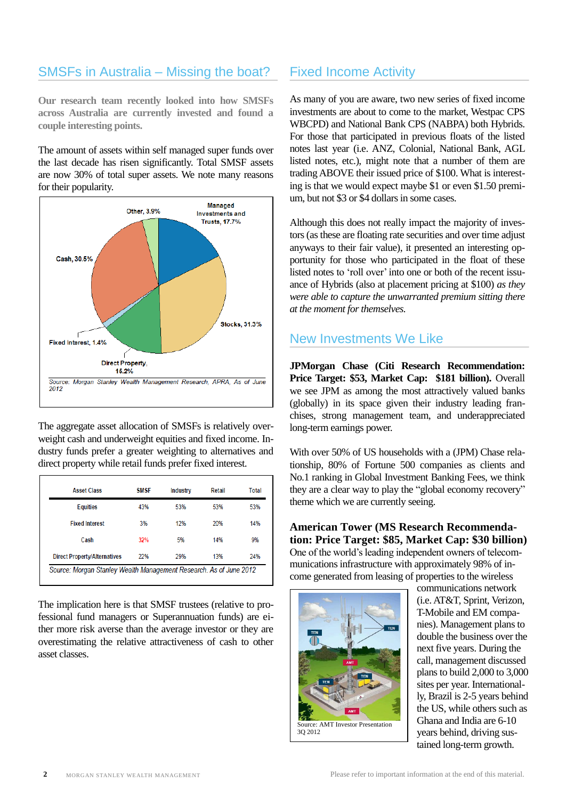## SMSFs in Australia – Missing the boat?

**Our research team recently looked into how SMSFs across Australia are currently invested and found a couple interesting points.**

The amount of assets within self managed super funds over the last decade has risen significantly. Total SMSF assets are now 30% of total super assets. We note many reasons for their popularity.



The aggregate asset allocation of SMSFs is relatively overweight cash and underweight equities and fixed income. Industry funds prefer a greater weighting to alternatives and direct property while retail funds prefer fixed interest.

| <b>Asset Class</b>                  | <b>SMSF</b> | <b>Industry</b> | Retail | Total |
|-------------------------------------|-------------|-----------------|--------|-------|
| <b>Equities</b>                     | 43%         | 53%             | 53%    | 53%   |
| <b>Fixed Interest</b>               | 3%          | 12%             | 20%    | 14%   |
| Cash                                | 32%         | 5%              | 14%    | 9%    |
| <b>Direct Property/Alternatives</b> | 22%         | 29%             | 13%    | 24%   |

The implication here is that SMSF trustees (relative to professional fund managers or Superannuation funds) are either more risk averse than the average investor or they are overestimating the relative attractiveness of cash to other asset classes.

## Fixed Income Activity

As many of you are aware, two new series of fixed income investments are about to come to the market, Westpac CPS WBCPD) and National Bank CPS (NABPA) both Hybrids. For those that participated in previous floats of the listed notes last year (i.e. ANZ, Colonial, National Bank, AGL listed notes, etc.), might note that a number of them are trading ABOVE their issued price of \$100. What is interesting is that we would expect maybe \$1 or even \$1.50 premium, but not \$3 or \$4 dollars in some cases.

Although this does not really impact the majority of investors (as these are floating rate securities and over time adjust anyways to their fair value), it presented an interesting opportunity for those who participated in the float of these listed notes to 'roll over' into one or both of the recent issuance of Hybrids (also at placement pricing at \$100) *as they were able to capture the unwarranted premium sitting there at the moment for themselves.*

## New Investments We Like

**JPMorgan Chase (Citi Research Recommendation: Price Target: \$53, Market Cap: \$181 billion).** Overall we see JPM as among the most attractively valued banks (globally) in its space given their industry leading franchises, strong management team, and underappreciated long-term earnings power.

With over 50% of US households with a (JPM) Chase relationship, 80% of Fortune 500 companies as clients and No.1 ranking in Global Investment Banking Fees, we think they are a clear way to play the "global economy recovery" theme which we are currently seeing.

**American Tower (MS Research Recommendation: Price Target: \$85, Market Cap: \$30 billion)**  One of the world's leading independent owners of telecommunications infrastructure with approximately 98% of income generated from leasing of properties to the wireless



communications network (i.e. AT&T, Sprint, Verizon, T-Mobile and EM companies). Management plans to double the business over the next five years. During the call, management discussed plans to build 2,000 to 3,000 sites per year. Internationally, Brazil is 2-5 years behind the US, while others such as Ghana and India are 6-10 years behind, driving sustained long-term growth.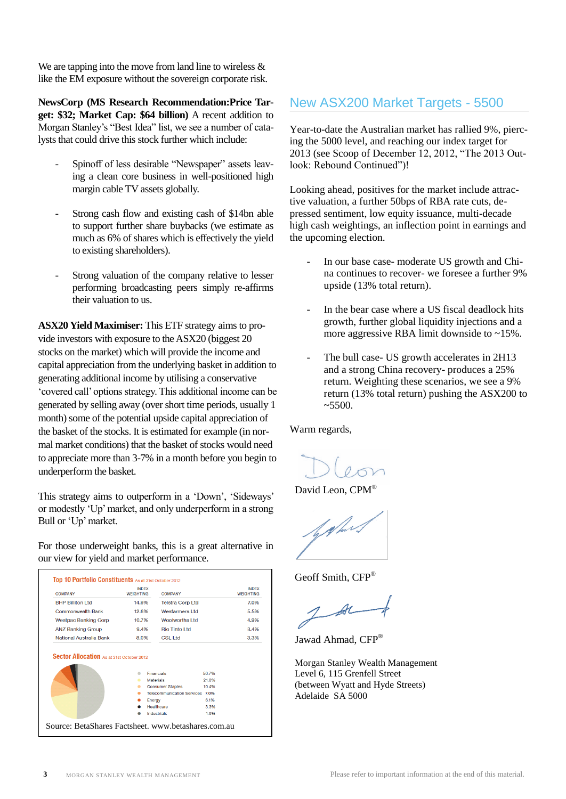We are tapping into the move from land line to wireless  $\&$ like the EM exposure without the sovereign corporate risk.

**NewsCorp (MS Research Recommendation:Price Target: \$32; Market Cap: \$64 billion)** A recent addition to Morgan Stanley's "Best Idea" list, we see a number of catalysts that could drive this stock further which include:

- Spinoff of less desirable "Newspaper" assets leaving a clean core business in well-positioned high margin cable TV assets globally.
- Strong cash flow and existing cash of \$14bn able to support further share buybacks (we estimate as much as 6% of shares which is effectively the yield to existing shareholders).
- Strong valuation of the company relative to lesser performing broadcasting peers simply re-affirms their valuation to us.

**ASX20 Yield Maximiser:** This ETF strategy aims to provide investors with exposure to the ASX20 (biggest 20 stocks on the market) which will provide the income and capital appreciation from the underlying basket in addition to generating additional income by utilising a conservative 'covered call' options strategy. This additional income can be generated by selling away (over short time periods, usually 1 month) some of the potential upside capital appreciation of the basket of the stocks. It is estimated for example (in normal market conditions) that the basket of stocks would need to appreciate more than 3-7% in a month before you begin to underperform the basket.

This strategy aims to outperform in a 'Down', 'Sideways' or modestly 'Up' market, and only underperform in a strong Bull or 'Up' market.

For those underweight banks, this is a great alternative in our view for yield and market performance.

| <b>COMPANY</b>                                                              | <b>INDEX</b><br><b>WEIGHTING</b> | <b>COMPANY</b>                        |                | <b>INDEX</b><br><b>WFIGHTING</b> |
|-----------------------------------------------------------------------------|----------------------------------|---------------------------------------|----------------|----------------------------------|
| <b>BHP Billiton I td</b>                                                    | 14.9%                            | <b>Telstra Corp Ltd</b>               |                | 7.0%                             |
| <b>Commonwealth Bank</b>                                                    | 12.6%                            | <b>Wesfarmers Ltd</b>                 |                | 5.5%                             |
| <b>Westpac Banking Corp</b>                                                 | 10.7%                            | Woolworths Ltd                        |                | 4.9%                             |
| <b>ANZ Banking Group</b>                                                    | 9.4%                             | <b>Rio Tinto I td</b>                 |                | 3.4%                             |
|                                                                             |                                  |                                       |                |                                  |
| National Australia Bank<br><b>Sector Allocation</b> As at 31st October 2012 | 8.0%                             | CSI 1td                               |                |                                  |
|                                                                             |                                  |                                       |                |                                  |
|                                                                             |                                  | <b>Financials</b><br><b>Materials</b> | 50.7%<br>21.0% | 3.3%                             |
|                                                                             |                                  | <b>Consumer Staples</b>               | 10 4%          |                                  |
|                                                                             |                                  | Telecommunication Services 70%        |                |                                  |
|                                                                             |                                  | Energy                                | 6 1%           |                                  |
|                                                                             |                                  | Healthcare                            | 3.3%           |                                  |

## New ASX200 Market Targets - 5500

Year-to-date the Australian market has rallied 9%, piercing the 5000 level, and reaching our index target for 2013 (see Scoop of December 12, 2012, "The 2013 Outlook: Rebound Continued")!

Looking ahead, positives for the market include attractive valuation, a further 50bps of RBA rate cuts, depressed sentiment, low equity issuance, multi-decade high cash weightings, an inflection point in earnings and the upcoming election.

- In our base case- moderate US growth and China continues to recover- we foresee a further 9% upside (13% total return).
- In the bear case where a US fiscal deadlock hits growth, further global liquidity injections and a more aggressive RBA limit downside to ~15%.
- The bull case- US growth accelerates in 2H13 and a strong China recovery- produces a 25% return. Weighting these scenarios, we see a 9% return (13% total return) pushing the ASX200 to  $~5500.$

Warm regards,

David Leon, CPM<sup>®</sup>

Geoff Smith, CFP<sup>®</sup>

Jawad Ahmad, CFP®

Morgan Stanley Wealth Management Level 6, 115 Grenfell Street (between Wyatt and Hyde Streets) Adelaide SA 5000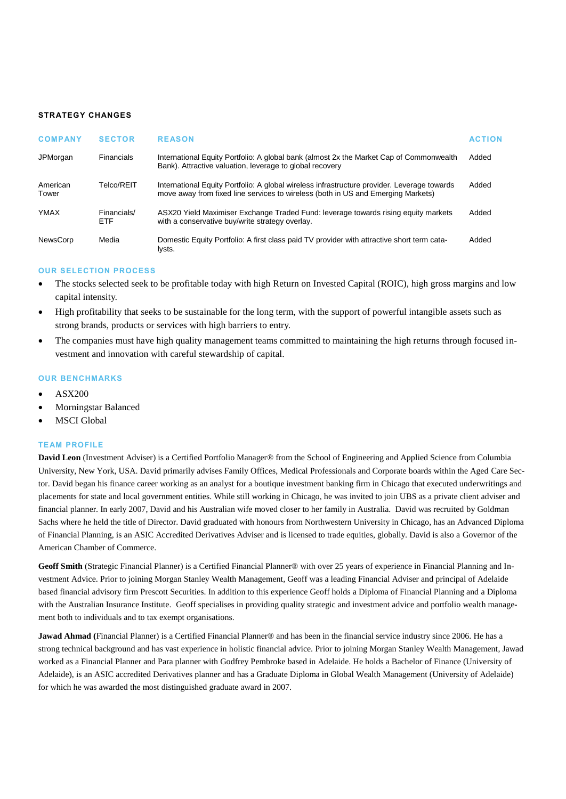### **STRATEGY CHANGES**

| <b>COMPANY</b>    | <b>SECTOR</b>             | <b>REASON</b>                                                                                                                                                                   | <b>ACTION</b> |
|-------------------|---------------------------|---------------------------------------------------------------------------------------------------------------------------------------------------------------------------------|---------------|
| JPMorgan          | Financials                | International Equity Portfolio: A global bank (almost 2x the Market Cap of Commonwealth<br>Bank). Attractive valuation, leverage to global recovery                             | Added         |
| American<br>Tower | Telco/REIT                | International Equity Portfolio: A global wireless infrastructure provider. Leverage towards<br>move away from fixed line services to wireless (both in US and Emerging Markets) | Added         |
| <b>YMAX</b>       | Financials/<br><b>ETF</b> | ASX20 Yield Maximiser Exchange Traded Fund: leverage towards rising equity markets<br>with a conservative buy/write strategy overlay.                                           | Added         |
| <b>NewsCorp</b>   | Media                     | Domestic Equity Portfolio: A first class paid TV provider with attractive short term cata-<br>lysts.                                                                            | Added         |

## **OUR SELECTION PROCESS**

- The stocks selected seek to be profitable today with high Return on Invested Capital (ROIC), high gross margins and low capital intensity.
- High profitability that seeks to be sustainable for the long term, with the support of powerful intangible assets such as strong brands, products or services with high barriers to entry.
- The companies must have high quality management teams committed to maintaining the high returns through focused investment and innovation with careful stewardship of capital.

## **OUR BENCHMARKS**

- ASX200
- Morningstar Balanced
- MSCI Global

## **TEAM PROFILE**

**David Leon** (Investment Adviser) is a Certified Portfolio Manager® from the School of Engineering and Applied Science from Columbia University, New York, USA. David primarily advises Family Offices, Medical Professionals and Corporate boards within the Aged Care Sector. David began his finance career working as an analyst for a boutique investment banking firm in Chicago that executed underwritings and placements for state and local government entities. While still working in Chicago, he was invited to join UBS as a private client adviser and financial planner. In early 2007, David and his Australian wife moved closer to her family in Australia. David was recruited by Goldman Sachs where he held the title of Director. David graduated with honours from Northwestern University in Chicago, has an Advanced Diploma of Financial Planning, is an ASIC Accredited Derivatives Adviser and is licensed to trade equities, globally. David is also a Governor of the American Chamber of Commerce.

**Geoff Smith** (Strategic Financial Planner) is a Certified Financial Planner® with over 25 years of experience in Financial Planning and Investment Advice. Prior to joining Morgan Stanley Wealth Management, Geoff was a leading Financial Adviser and principal of Adelaide based financial advisory firm Prescott Securities. In addition to this experience Geoff holds a Diploma of Financial Planning and a Diploma with the Australian Insurance Institute. Geoff specialises in providing quality strategic and investment advice and portfolio wealth management both to individuals and to tax exempt organisations.

**Jawad Ahmad (**Financial Planner) is a Certified Financial Planner® and has been in the financial service industry since 2006. He has a strong technical background and has vast experience in holistic financial advice. Prior to joining Morgan Stanley Wealth Management, Jawad worked as a Financial Planner and Para planner with Godfrey Pembroke based in Adelaide. He holds a Bachelor of Finance (University of Adelaide), is an ASIC accredited Derivatives planner and has a Graduate Diploma in Global Wealth Management (University of Adelaide) for which he was awarded the most distinguished graduate award in 2007.